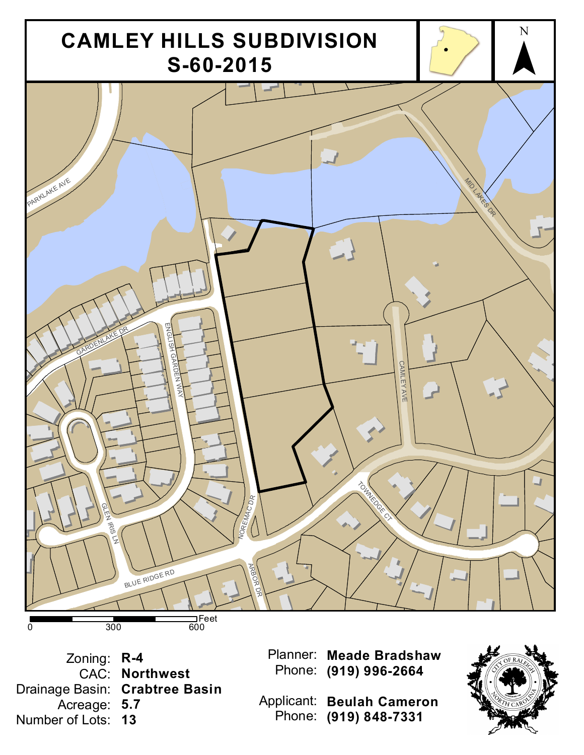

Zoning: **R-4** CAC: **Northwest** Drainage Basin: **Crabtree Basin** Acreage: **5.7** Number of Lots: **13**

Planner: **Meade Bradshaw** Phone: **(919) 996-2664**

Applicant: **Beulah Cameron** Phone: **(919) 848-7331**

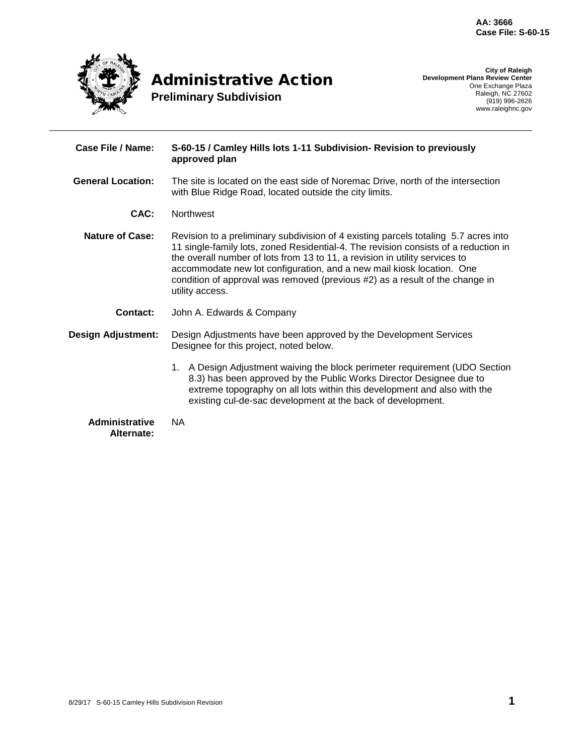

**City of Raleigh Development Plans Review Center** One Exchange Plaza Raleigh, NC 27602 (919) 996-2626 www.raleighnc.gov

| Case File / Name:                   | S-60-15 / Camley Hills lots 1-11 Subdivision- Revision to previously<br>approved plan                                                                                                                                                                                                                                                                                                                                                 |  |  |
|-------------------------------------|---------------------------------------------------------------------------------------------------------------------------------------------------------------------------------------------------------------------------------------------------------------------------------------------------------------------------------------------------------------------------------------------------------------------------------------|--|--|
| <b>General Location:</b>            | The site is located on the east side of Noremac Drive, north of the intersection<br>with Blue Ridge Road, located outside the city limits.                                                                                                                                                                                                                                                                                            |  |  |
| CAC:                                | <b>Northwest</b>                                                                                                                                                                                                                                                                                                                                                                                                                      |  |  |
| <b>Nature of Case:</b>              | Revision to a preliminary subdivision of 4 existing parcels totaling 5.7 acres into<br>11 single-family lots, zoned Residential-4. The revision consists of a reduction in<br>the overall number of lots from 13 to 11, a revision in utility services to<br>accommodate new lot configuration, and a new mail kiosk location. One<br>condition of approval was removed (previous #2) as a result of the change in<br>utility access. |  |  |
| <b>Contact:</b>                     | John A. Edwards & Company                                                                                                                                                                                                                                                                                                                                                                                                             |  |  |
| <b>Design Adjustment:</b>           | Design Adjustments have been approved by the Development Services<br>Designee for this project, noted below.                                                                                                                                                                                                                                                                                                                          |  |  |
|                                     | 1. A Design Adjustment waiving the block perimeter requirement (UDO Section<br>8.3) has been approved by the Public Works Director Designee due to<br>extreme topography on all lots within this development and also with the<br>existing cul-de-sac development at the back of development.                                                                                                                                         |  |  |
| <b>Administrative</b><br>Alternate: | <b>NA</b>                                                                                                                                                                                                                                                                                                                                                                                                                             |  |  |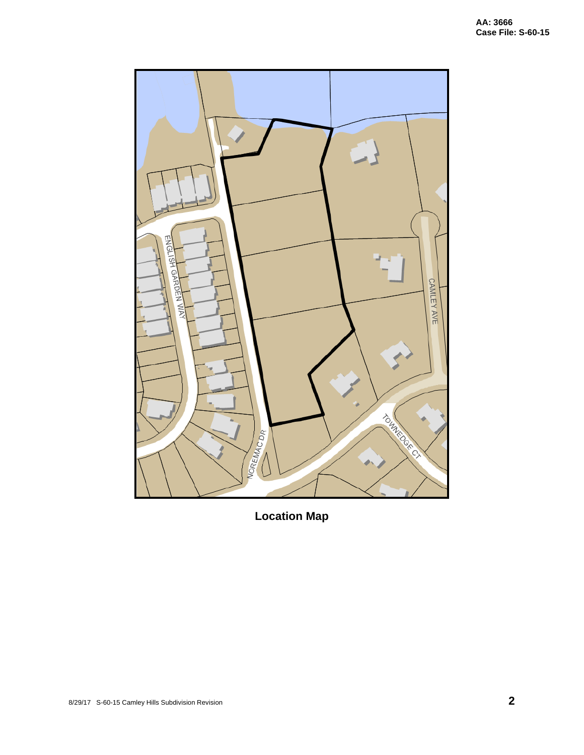

**Location Map**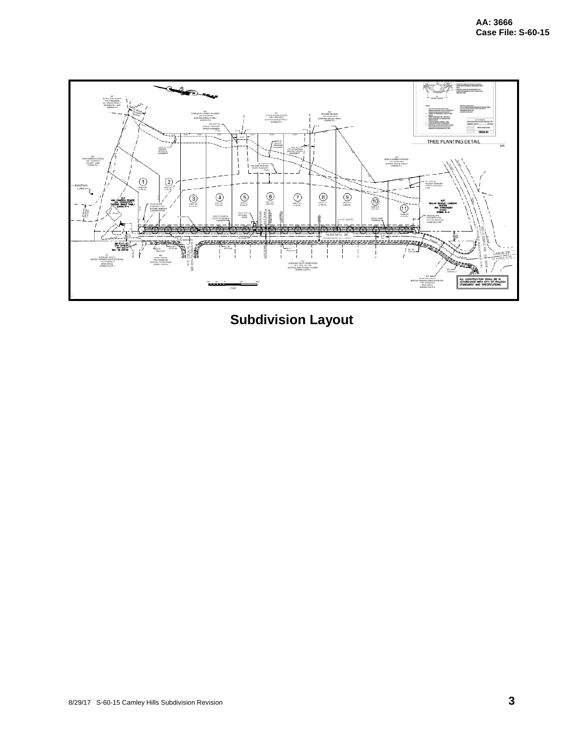

**Subdivision Layout**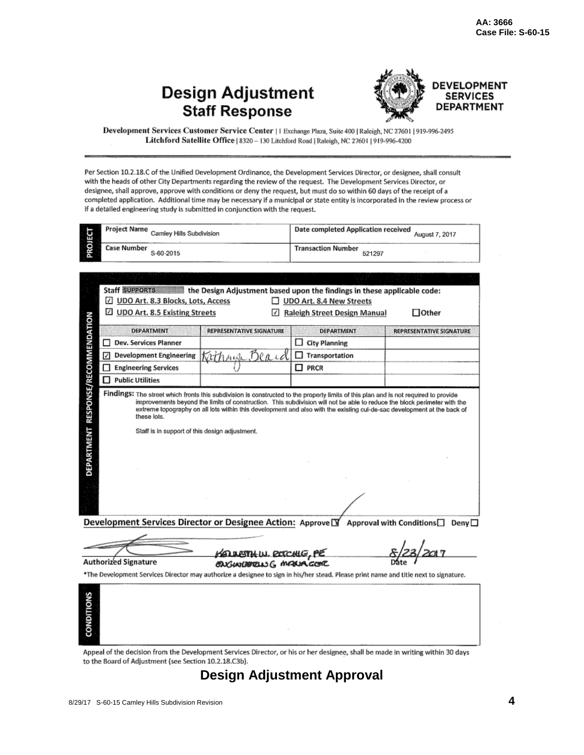### **Design Adjustment Staff Response**



DEVELOPMENT **SERVICES DEPARTMENT** 

Development Services Customer Service Center | 1 Exchange Plaza, Suite 400 | Raleigh, NC 27601 | 919-996-2495 Litchford Satellite Office | 8320 - 130 Litchford Road | Raleigh, NC 27601 | 919-996-4200

Per Section 10.2.18.C of the Unified Development Ordinance, the Development Services Director, or designee, shall consult with the heads of other City Departments regarding the review of the request. The Development Services Director, or designee, shall approve, approve with conditions or deny the request, but must do so within 60 days of the receipt of a completed application. Additional time may be necessary if a municipal or state entity is incorporated in the review process or if a detailed engineering study is submitted in conjunction with the request.

|                                                                                                           | <b>Project Name</b><br>Camley Hills Subdivision                                                                                                                                                       |                                            | Date completed Application received                                                                                                                                                                                                                 | August 7, 2017                  |
|-----------------------------------------------------------------------------------------------------------|-------------------------------------------------------------------------------------------------------------------------------------------------------------------------------------------------------|--------------------------------------------|-----------------------------------------------------------------------------------------------------------------------------------------------------------------------------------------------------------------------------------------------------|---------------------------------|
| PROJECT                                                                                                   | <b>Case Number</b><br>S-60-2015                                                                                                                                                                       |                                            | <b>Transaction Number</b><br>521297                                                                                                                                                                                                                 |                                 |
|                                                                                                           | Staff SUPPORTS the Design Adjustment based upon the findings in these applicable code:<br>UDO Art. 8.3 Blocks, Lots, Access<br>₽<br><b>UDO Art. 8.5 Existing Streets</b><br>×.                        | $\vert \cdot \vert$                        | UDO Art. 8.4 New Streets<br>Raleigh Street Design Manual                                                                                                                                                                                            | $\Box$ Other                    |
|                                                                                                           | <b>DEPARTMENT</b>                                                                                                                                                                                     | <b>REPRESENTATIVE SIGNATURE</b>            | <b>DEPARTMENT</b>                                                                                                                                                                                                                                   | <b>REPRESENTATIVE SIGNATURE</b> |
|                                                                                                           | Dev. Services Planner<br>П                                                                                                                                                                            |                                            | $\Box$ City Planning                                                                                                                                                                                                                                |                                 |
|                                                                                                           | <b>Development Engineering</b><br>☑                                                                                                                                                                   | <i>Kathau</i>                              | Transportation<br>Π                                                                                                                                                                                                                                 |                                 |
|                                                                                                           | <b>Engineering Services</b>                                                                                                                                                                           |                                            | $\Box$ PRCR                                                                                                                                                                                                                                         |                                 |
|                                                                                                           | п<br><b>Public Utilities</b>                                                                                                                                                                          |                                            |                                                                                                                                                                                                                                                     |                                 |
| RESPONSE/RECOMMENDATION<br>DEPARTMENT                                                                     | Findings: The street which fronts this subdivision is constructed to the property limits of this plan and is not required to provide<br>these lots.<br>Staff is in support of this design adjustment. |                                            | improvements beyond the limits of construction. This subdivision will not be able to reduce the block perimeter with the<br>extreme topography on all lots within this development and also with the existing cul-de-sac development at the back of |                                 |
| Development Services Director or Designee Action: Approve [S] Approval with Conditions□<br>Deny $\square$ |                                                                                                                                                                                                       |                                            |                                                                                                                                                                                                                                                     |                                 |
|                                                                                                           | <b>Authorized Signature</b>                                                                                                                                                                           | KOURTHU BOCHE, PE<br>ENGINEERING MAXIA COR |                                                                                                                                                                                                                                                     |                                 |
|                                                                                                           | *The Development Services Director may authorize a designee to sign in his/her stead. Please print name and title next to signature.                                                                  |                                            |                                                                                                                                                                                                                                                     |                                 |



to the Board of Adjustment (see Section 10.2.18.C3b).

**Design Adjustment Approval**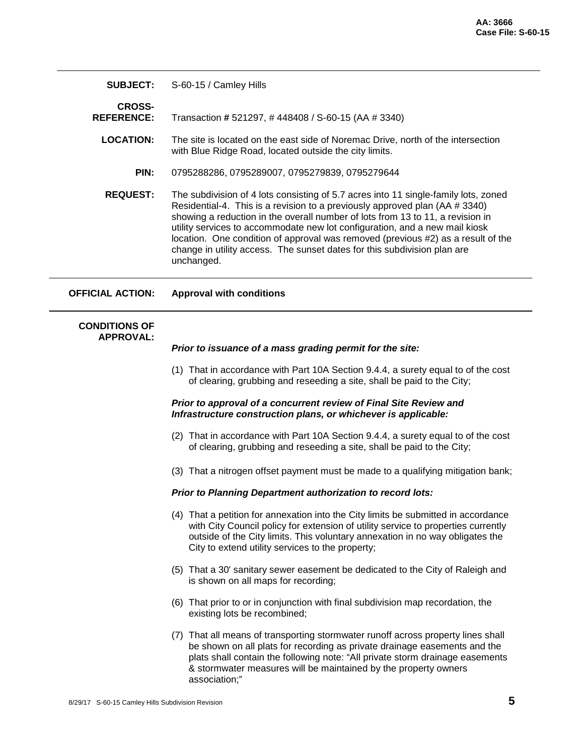| <b>SUBJECT:</b>                          | S-60-15 / Camley Hills                                                                                                                                                                                                                                                                                                                                                                                                                                                                                            |
|------------------------------------------|-------------------------------------------------------------------------------------------------------------------------------------------------------------------------------------------------------------------------------------------------------------------------------------------------------------------------------------------------------------------------------------------------------------------------------------------------------------------------------------------------------------------|
| <b>CROSS-</b><br><b>REFERENCE:</b>       | Transaction # 521297, # 448408 / S-60-15 (AA # 3340)                                                                                                                                                                                                                                                                                                                                                                                                                                                              |
| <b>LOCATION:</b>                         | The site is located on the east side of Noremac Drive, north of the intersection<br>with Blue Ridge Road, located outside the city limits.                                                                                                                                                                                                                                                                                                                                                                        |
| PIN:                                     | 0795288286, 0795289007, 0795279839, 0795279644                                                                                                                                                                                                                                                                                                                                                                                                                                                                    |
| <b>REQUEST:</b>                          | The subdivision of 4 lots consisting of 5.7 acres into 11 single-family lots, zoned<br>Residential-4. This is a revision to a previously approved plan (AA # 3340)<br>showing a reduction in the overall number of lots from 13 to 11, a revision in<br>utility services to accommodate new lot configuration, and a new mail kiosk<br>location. One condition of approval was removed (previous #2) as a result of the<br>change in utility access. The sunset dates for this subdivision plan are<br>unchanged. |
| OFFICIAL ACTION:                         | <b>Approval with conditions</b>                                                                                                                                                                                                                                                                                                                                                                                                                                                                                   |
| <b>CONDITIONS OF</b><br><b>APPROVAL:</b> | Prior to issuance of a mass grading permit for the site:                                                                                                                                                                                                                                                                                                                                                                                                                                                          |
|                                          | (1) That in accordance with Part 10A Section 9.4.4, a surety equal to of the cost<br>of clearing, grubbing and reseeding a site, shall be paid to the City;                                                                                                                                                                                                                                                                                                                                                       |
|                                          | Prior to approval of a concurrent review of Final Site Review and<br>Infrastructure construction plans, or whichever is applicable:                                                                                                                                                                                                                                                                                                                                                                               |

- (2) That in accordance with Part 10A Section 9.4.4, a surety equal to of the cost of clearing, grubbing and reseeding a site, shall be paid to the City;
- (3) That a nitrogen offset payment must be made to a qualifying mitigation bank;

#### *Prior to Planning Department authorization to record lots:*

- (4) That a petition for annexation into the City limits be submitted in accordance with City Council policy for extension of utility service to properties currently outside of the City limits. This voluntary annexation in no way obligates the City to extend utility services to the property;
- (5) That a 30' sanitary sewer easement be dedicated to the City of Raleigh and is shown on all maps for recording;
- (6) That prior to or in conjunction with final subdivision map recordation, the existing lots be recombined;
- (7) That all means of transporting stormwater runoff across property lines shall be shown on all plats for recording as private drainage easements and the plats shall contain the following note: "All private storm drainage easements & stormwater measures will be maintained by the property owners association;"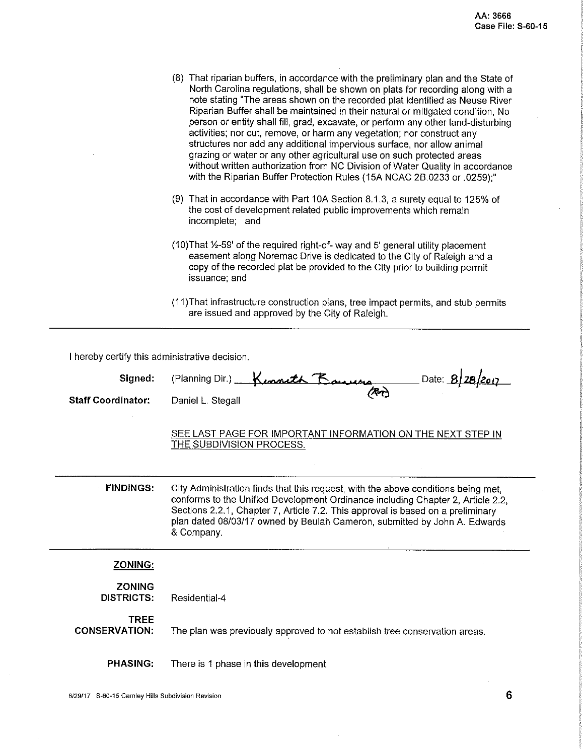|                                                | (8) That riparian buffers, in accordance with the preliminary plan and the State of<br>North Carolina regulations, shall be shown on plats for recording along with a<br>note stating "The areas shown on the recorded plat identified as Neuse River<br>Riparian Buffer shall be maintained in their natural or mitigated condition, No<br>person or entity shall fill, grad, excavate, or perform any other land-disturbing<br>activities; nor cut, remove, or harm any vegetation; nor construct any<br>structures nor add any additional impervious surface, nor allow animal<br>grazing or water or any other agricultural use on such protected areas<br>without written authorization from NC Division of Water Quality in accordance<br>with the Riparian Buffer Protection Rules (15A NCAC 2B.0233 or .0259);" |
|------------------------------------------------|-------------------------------------------------------------------------------------------------------------------------------------------------------------------------------------------------------------------------------------------------------------------------------------------------------------------------------------------------------------------------------------------------------------------------------------------------------------------------------------------------------------------------------------------------------------------------------------------------------------------------------------------------------------------------------------------------------------------------------------------------------------------------------------------------------------------------|
|                                                | (9) That in accordance with Part 10A Section 8.1.3, a surety equal to 125% of<br>the cost of development related public improvements which remain<br>incomplete; and                                                                                                                                                                                                                                                                                                                                                                                                                                                                                                                                                                                                                                                    |
|                                                | (10) That 1/2-59' of the required right-of- way and 5' general utility placement<br>easement along Noremac Drive is dedicated to the City of Raleigh and a<br>copy of the recorded plat be provided to the City prior to building permit<br>issuance; and                                                                                                                                                                                                                                                                                                                                                                                                                                                                                                                                                               |
|                                                | (11) That infrastructure construction plans, tree impact permits, and stub permits<br>are issued and approved by the City of Raleigh.                                                                                                                                                                                                                                                                                                                                                                                                                                                                                                                                                                                                                                                                                   |
| I hereby certify this administrative decision. |                                                                                                                                                                                                                                                                                                                                                                                                                                                                                                                                                                                                                                                                                                                                                                                                                         |
| Signed:                                        | (Planning Dir.) Kenneth Banners<br>. Date: 8/28,                                                                                                                                                                                                                                                                                                                                                                                                                                                                                                                                                                                                                                                                                                                                                                        |
| <b>Staff Coordinator:</b>                      | Daniel L. Stegall                                                                                                                                                                                                                                                                                                                                                                                                                                                                                                                                                                                                                                                                                                                                                                                                       |
|                                                |                                                                                                                                                                                                                                                                                                                                                                                                                                                                                                                                                                                                                                                                                                                                                                                                                         |

SEE LAST PAGE FOR IMPORTANT INFORMATION ON THE NEXT STEP IN THE SUBDIVISION PROCESS.

**FINDINGS:** City Administration finds that this request, with the above conditions being met, conforms to the Unified Development Ordinance including Chapter 2, Article 2.2, Sections 2.2.1, Chapter 7, Article 7.2. This approval is based on a preliminary plan dated 08/03/17 owned by Beulah Cameron, submitted by John A. Edwards & Company.

### ZONING:

| <b>ZONING</b><br>DISTRICTS:  | Residential-4                                                              |
|------------------------------|----------------------------------------------------------------------------|
| TREE<br><b>CONSERVATION:</b> | The plan was previously approved to not establish tree conservation areas. |

**PHASING:** There is 1 phase in this development.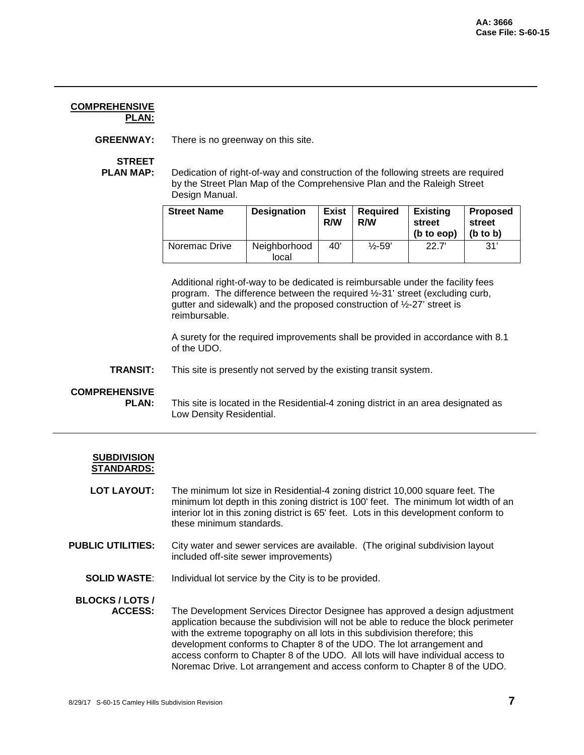#### **COMPREHENSIVE PLAN:**

**GREENWAY:** There is no greenway on this site.

**STREET<br>PLAN MAP:** 

Dedication of right-of-way and construction of the following streets are required by the Street Plan Map of the Comprehensive Plan and the Raleigh Street Design Manual.

| <b>Street Name</b> | <b>Designation</b>    | <b>Exist</b><br>R/W | <b>Required</b><br>R/W | <b>Existing</b><br>street<br>(b to eop) | <b>Proposed</b><br>street<br>$(b \text{ to } b)$ |
|--------------------|-----------------------|---------------------|------------------------|-----------------------------------------|--------------------------------------------------|
| Noremac Drive      | Neighborhood<br>local | 40'                 | $\frac{1}{2}$ -59'     | 22.7'                                   | 31'                                              |

Additional right-of-way to be dedicated is reimbursable under the facility fees program. The difference between the required ½-31' street (excluding curb, gutter and sidewalk) and the proposed construction of ½-27' street is reimbursable.

A surety for the required improvements shall be provided in accordance with 8.1 of the UDO.

**TRANSIT:** This site is presently not served by the existing transit system.

### **COMPREHENSIVE**

This site is located in the Residential-4 zoning district in an area designated as Low Density Residential.

| <b>SUBDIVISION</b> |
|--------------------|
| STANDARDS:         |

LOT LAYOUT: The minimum lot size in Residential-4 zoning district 10,000 square feet. The minimum lot depth in this zoning district is 100' feet. The minimum lot width of an interior lot in this zoning district is 65' feet. Lots in this development conform to these minimum standards.

- **PUBLIC UTILITIES:** City water and sewer services are available. (The original subdivision layout included off-site sewer improvements)
	- **SOLID WASTE**: Individual lot service by the City is to be provided.

# **BLOCKS / LOTS /**

**ACCESS:** The Development Services Director Designee has approved a design adjustment application because the subdivision will not be able to reduce the block perimeter with the extreme topography on all lots in this subdivision therefore; this development conforms to Chapter 8 of the UDO. The lot arrangement and access conform to Chapter 8 of the UDO. All lots will have individual access to Noremac Drive. Lot arrangement and access conform to Chapter 8 of the UDO.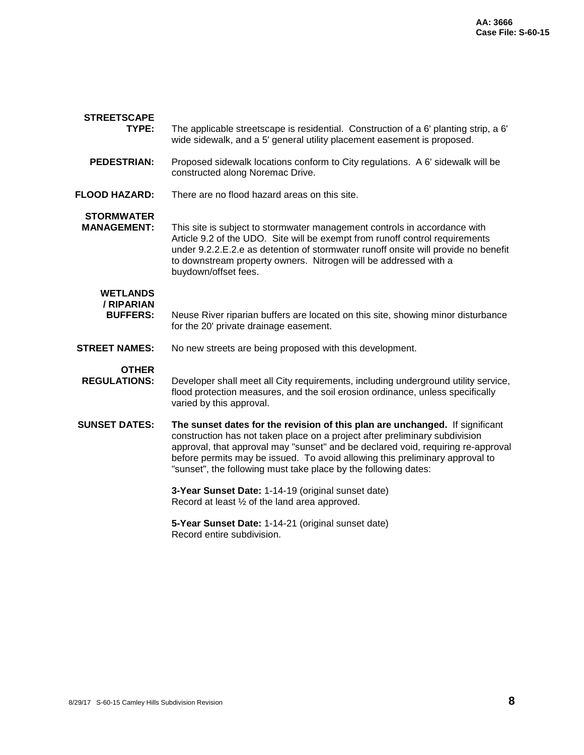| <b>STREETSCAPE</b>                               |                                                                                                                                                                                                                                                                                                                                                                                                    |  |  |
|--------------------------------------------------|----------------------------------------------------------------------------------------------------------------------------------------------------------------------------------------------------------------------------------------------------------------------------------------------------------------------------------------------------------------------------------------------------|--|--|
| TYPE:                                            | The applicable streetscape is residential. Construction of a 6' planting strip, a 6'<br>wide sidewalk, and a 5' general utility placement easement is proposed.                                                                                                                                                                                                                                    |  |  |
| <b>PEDESTRIAN:</b>                               | Proposed sidewalk locations conform to City regulations. A 6' sidewalk will be<br>constructed along Noremac Drive.                                                                                                                                                                                                                                                                                 |  |  |
| <b>FLOOD HAZARD:</b>                             | There are no flood hazard areas on this site.                                                                                                                                                                                                                                                                                                                                                      |  |  |
| <b>STORMWATER</b><br><b>MANAGEMENT:</b>          | This site is subject to stormwater management controls in accordance with<br>Article 9.2 of the UDO. Site will be exempt from runoff control requirements<br>under 9.2.2.E.2.e as detention of stormwater runoff onsite will provide no benefit<br>to downstream property owners. Nitrogen will be addressed with a<br>buydown/offset fees.                                                        |  |  |
| <b>WETLANDS</b><br>/ RIPARIAN<br><b>BUFFERS:</b> | Neuse River riparian buffers are located on this site, showing minor disturbance<br>for the 20' private drainage easement.                                                                                                                                                                                                                                                                         |  |  |
| <b>STREET NAMES:</b>                             | No new streets are being proposed with this development.                                                                                                                                                                                                                                                                                                                                           |  |  |
| <b>OTHER</b><br><b>REGULATIONS:</b>              | Developer shall meet all City requirements, including underground utility service,<br>flood protection measures, and the soil erosion ordinance, unless specifically<br>varied by this approval.                                                                                                                                                                                                   |  |  |
| <b>SUNSET DATES:</b>                             | The sunset dates for the revision of this plan are unchanged. If significant<br>construction has not taken place on a project after preliminary subdivision<br>approval, that approval may "sunset" and be declared void, requiring re-approval<br>before permits may be issued. To avoid allowing this preliminary approval to<br>"sunset", the following must take place by the following dates: |  |  |
|                                                  | 3-Year Sunset Date: 1-14-19 (original sunset date)<br>Record at least 1/2 of the land area approved.                                                                                                                                                                                                                                                                                               |  |  |
|                                                  | 5-Year Sunset Date: 1-14-21 (original sunset date)<br>Record entire subdivision.                                                                                                                                                                                                                                                                                                                   |  |  |